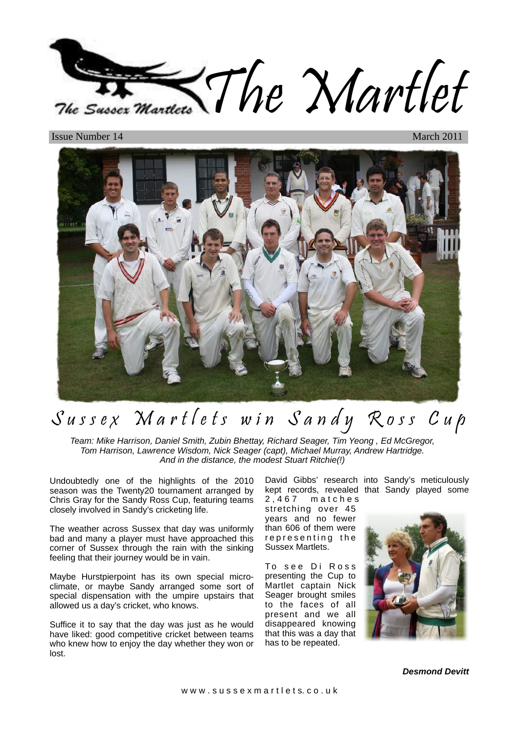

**Issue Number 14** 



# Sussex Martlets win Sandy Ross Cup

Team: Mike Harrison, Daniel Smith, Zubin Bhettay, Richard Seager, Tim Yeong , Ed McGregor, Tom Harrison, Lawrence Wisdom, Nick Seager (capt), Michael Murray, Andrew Hartridge. And in the distance, the modest Stuart Ritchie(!)

Undoubtedly one of the highlights of the 2010 season was the Twenty20 tournament arranged by Chris Gray for the Sandy Ross Cup, featuring teams closely involved in Sandy's cricketing life.

The weather across Sussex that day was uniformly bad and many a player must have approached this corner of Sussex through the rain with the sinking feeling that their journey would be in vain.

Maybe Hurstpierpoint has its own special microclimate, or maybe Sandy arranged some sort of special dispensation with the umpire upstairs that allowed us a day's cricket, who knows.

Suffice it to say that the day was just as he would have liked: good competitive cricket between teams who knew how to enjoy the day whether they won or lost.

David Gibbs' research into Sandy's meticulously kept records, revealed that Sandy played some 2 , 4 6 7 m a t c h e s stretching over 45 years and no fewer than 606 of them were

Sussex Martlets. To see Di Ross presenting the Cup to Martlet captain Nick Seager brought smiles to the faces of all present and we all disappeared knowing that this was a day that has to be repeated.

representing the



**Desmond Devitt**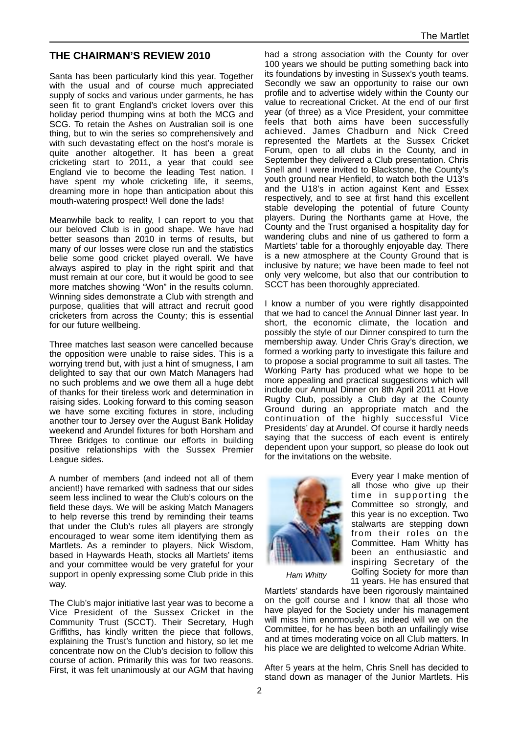# **THE CHAIRMAN'S REVIEW 2010**

Santa has been particularly kind this year. Together with the usual and of course much appreciated supply of socks and various under garments, he has seen fit to grant England's cricket lovers over this holiday period thumping wins at both the MCG and SCG. To retain the Ashes on Australian soil is one thing, but to win the series so comprehensively and with such devastating effect on the host's morale is quite another altogether. It has been a great cricketing start to 2011, a year that could see England vie to become the leading Test nation. I have spent my whole cricketing life, it seems, dreaming more in hope than anticipation about this mouth-watering prospect! Well done the lads!

Meanwhile back to reality, I can report to you that our beloved Club is in good shape. We have had better seasons than 2010 in terms of results, but many of our losses were close run and the statistics belie some good cricket played overall. We have always aspired to play in the right spirit and that must remain at our core, but it would be good to see more matches showing "Won" in the results column. Winning sides demonstrate a Club with strength and purpose, qualities that will attract and recruit good cricketers from across the County; this is essential for our future wellbeing.

Three matches last season were cancelled because the opposition were unable to raise sides. This is a worrying trend but, with just a hint of smugness, I am delighted to say that our own Match Managers had no such problems and we owe them all a huge debt of thanks for their tireless work and determination in raising sides. Looking forward to this coming season we have some exciting fixtures in store, including another tour to Jersey over the August Bank Holiday weekend and Arundel fixtures for both Horsham and Three Bridges to continue our efforts in building positive relationships with the Sussex Premier League sides.

A number of members (and indeed not all of them ancient!) have remarked with sadness that our sides seem less inclined to wear the Club's colours on the field these days. We will be asking Match Managers to help reverse this trend by reminding their teams that under the Club's rules all players are strongly encouraged to wear some item identifying them as Martlets. As a reminder to players, Nick Wisdom, based in Haywards Heath, stocks all Martlets' items and your committee would be very grateful for your support in openly expressing some Club pride in this way.

The Club's major initiative last year was to become a Vice President of the Sussex Cricket in the Community Trust (SCCT). Their Secretary, Hugh Griffiths, has kindly written the piece that follows, explaining the Trust's function and history, so let me concentrate now on the Club's decision to follow this course of action. Primarily this was for two reasons. First, it was felt unanimously at our AGM that having

had a strong association with the County for over 100 years we should be putting something back into its foundations by investing in Sussex's youth teams. Secondly we saw an opportunity to raise our own profile and to advertise widely within the County our value to recreational Cricket. At the end of our first year (of three) as a Vice President, your committee feels that both aims have been successfully achieved. James Chadburn and Nick Creed represented the Martlets at the Sussex Cricket Forum, open to all clubs in the County, and in September they delivered a Club presentation. Chris Snell and I were invited to Blackstone, the County's youth ground near Henfield, to watch both the U13's and the U18's in action against Kent and Essex respectively, and to see at first hand this excellent stable developing the potential of future County players. During the Northants game at Hove, the County and the Trust organised a hospitality day for wandering clubs and nine of us gathered to form a Martlets' table for a thoroughly enjoyable day. There is a new atmosphere at the County Ground that is inclusive by nature; we have been made to feel not only very welcome, but also that our contribution to SCCT has been thoroughly appreciated.

I know a number of you were rightly disappointed that we had to cancel the Annual Dinner last year. In short, the economic climate, the location and possibly the style of our Dinner conspired to turn the membership away. Under Chris Gray's direction, we formed a working party to investigate this failure and to propose a social programme to suit all tastes. The Working Party has produced what we hope to be more appealing and practical suggestions which will include our Annual Dinner on 8th April 2011 at Hove Rugby Club, possibly a Club day at the County Ground during an appropriate match and the continuation of the highly successful Vice Presidents' day at Arundel. Of course it hardly needs saying that the success of each event is entirely dependent upon your support, so please do look out for the invitations on the website.



Every year I make mention of all those who give up their time in supporting the Committee so strongly, and this year is no exception. Two stalwarts are stepping down from their roles on the Committee. Ham Whitty has been an enthusiastic and inspiring Secretary of the Golfing Society for more than 11 years. He has ensured that

Ham Whitty

Martlets' standards have been rigorously maintained on the golf course and I know that all those who have played for the Society under his management will miss him enormously, as indeed will we on the Committee, for he has been both an unfailingly wise and at times moderating voice on all Club matters. In his place we are delighted to welcome Adrian White.

After 5 years at the helm, Chris Snell has decided to stand down as manager of the Junior Martlets. His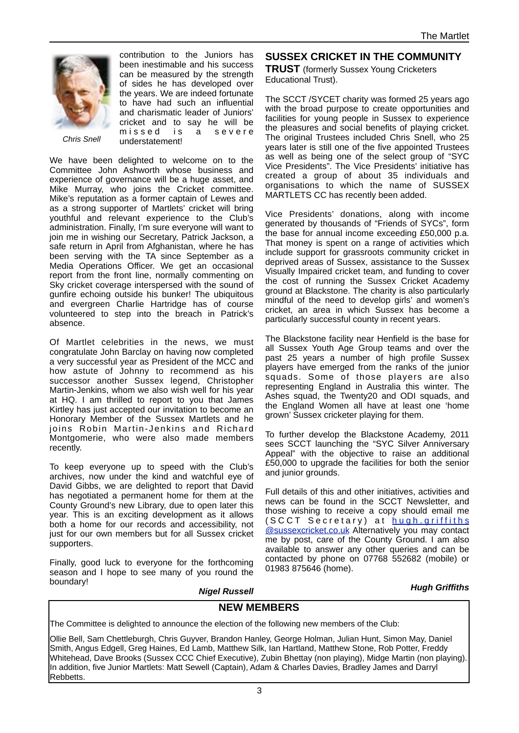

contribution to the Juniors has been inestimable and his success can be measured by the strength of sides he has developed over the years. We are indeed fortunate to have had such an influential and charismatic leader of Juniors' cricket and to say he will be missed is a severe understatement!

We have been delighted to welcome on to the Committee John Ashworth whose business and experience of governance will be a huge asset, and Mike Murray, who joins the Cricket committee. Mike's reputation as a former captain of Lewes and as a strong supporter of Martlets' cricket will bring youthful and relevant experience to the Club's administration. Finally, I'm sure everyone will want to join me in wishing our Secretary, Patrick Jackson, a safe return in April from Afghanistan, where he has been serving with the TA since September as a Media Operations Officer. We get an occasional report from the front line, normally commenting on Sky cricket coverage interspersed with the sound of gunfire echoing outside his bunker! The ubiquitous and evergreen Charlie Hartridge has of course volunteered to step into the breach in Patrick's absence.

Of Martlet celebrities in the news, we must congratulate John Barclay on having now completed a very successful year as President of the MCC and how astute of Johnny to recommend as his successor another Sussex legend, Christopher Martin-Jenkins, whom we also wish well for his year at HQ. I am thrilled to report to you that James Kirtley has just accepted our invitation to become an Honorary Member of the Sussex Martlets and he joins Robin Martin-Jenkins and Richard Montgomerie, who were also made members recently.

To keep everyone up to speed with the Club's archives, now under the kind and watchful eye of David Gibbs, we are delighted to report that David has negotiated a permanent home for them at the County Ground's new Library, due to open later this year. This is an exciting development as it allows both a home for our records and accessibility, not just for our own members but for all Sussex cricket supporters.

Finally, good luck to everyone for the forthcoming season and I hope to see many of you round the boundary!

# **SUSSEX CRICKET IN THE COMMUNITY**

**TRUST** (formerly Sussex Young Cricketers Educational Trust).

The SCCT /SYCET charity was formed 25 years ago with the broad purpose to create opportunities and facilities for young people in Sussex to experience the pleasures and social benefits of playing cricket. The original Trustees included Chris Snell, who 25 years later is still one of the five appointed Trustees as well as being one of the select group of "SYC Vice Presidents". The Vice Presidents' initiative has created a group of about 35 individuals and organisations to which the name of SUSSEX MARTLETS CC has recently been added.

Vice Presidents' donations, along with income generated by thousands of "Friends of SYCs", form the base for annual income exceeding £50,000 p.a. That money is spent on a range of activities which include support for grassroots community cricket in deprived areas of Sussex, assistance to the Sussex Visually Impaired cricket team, and funding to cover the cost of running the Sussex Cricket Academy ground at Blackstone. The charity is also particularly mindful of the need to develop girls' and women's cricket, an area in which Sussex has become a particularly successful county in recent years.

The Blackstone facility near Henfield is the base for all Sussex Youth Age Group teams and over the past 25 years a number of high profile Sussex players have emerged from the ranks of the junior squads. Some of those players are also representing England in Australia this winter. The Ashes squad, the Twenty20 and ODI squads, and the England Women all have at least one 'home grown' Sussex cricketer playing for them.

To further develop the Blackstone Academy, 2011 sees SCCT launching the "SYC Silver Anniversary Appeal" with the objective to raise an additional £50,000 to upgrade the facilities for both the senior and junior grounds.

Full details of this and other initiatives, activities and news can be found in the SCCT Newsletter, and those wishing to receive a copy should email me  $(SCCT$  Secretary) at hugh griffiths **[@sussexcricket.co.uk](mailto:hugh.griffiths@sussexcricket.co.uk) Alternatively you may contact** me by post, care of the County Ground. I am also available to answer any other queries and can be contacted by phone on 07768 552682 (mobile) or 01983 875646 (home).

#### **Hugh Griffiths**

**Nigel Russell**

# **NEW MEMBERS**

The Committee is delighted to announce the election of the following new members of the Club:

Ollie Bell, Sam Chettleburgh, Chris Guyver, Brandon Hanley, George Holman, Julian Hunt, Simon May, Daniel Smith, Angus Edgell, Greg Haines, Ed Lamb, Matthew Silk, Ian Hartland, Matthew Stone, Rob Potter, Freddy Whitehead, Dave Brooks (Sussex CCC Chief Executive), Zubin Bhettay (non playing), Midge Martin (non playing). In addition, five Junior Martlets: Matt Sewell (Captain), Adam & Charles Davies, Bradley James and Darryl Rebbetts.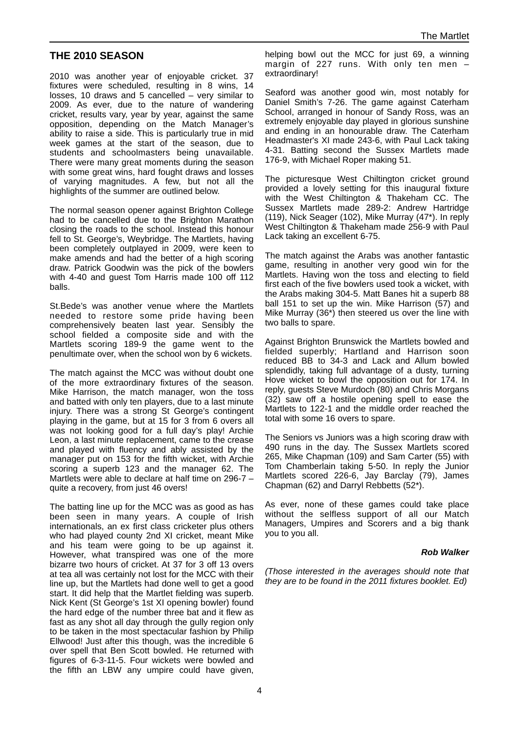# **THE 2010 SEASON**

2010 was another year of enjoyable cricket. 37 fixtures were scheduled, resulting in 8 wins, 14 losses, 10 draws and 5 cancelled – very similar to 2009. As ever, due to the nature of wandering cricket, results vary, year by year, against the same opposition, depending on the Match Manager's ability to raise a side. This is particularly true in mid week games at the start of the season, due to students and schoolmasters being unavailable. There were many great moments during the season with some great wins, hard fought draws and losses of varying magnitudes. A few, but not all the highlights of the summer are outlined below.

The normal season opener against Brighton College had to be cancelled due to the Brighton Marathon closing the roads to the school. Instead this honour fell to St. George's, Weybridge. The Martlets, having been completely outplayed in 2009, were keen to make amends and had the better of a high scoring draw. Patrick Goodwin was the pick of the bowlers with 4-40 and guest Tom Harris made 100 off 112 balls.

St.Bede's was another venue where the Martlets needed to restore some pride having been comprehensively beaten last year. Sensibly the school fielded a composite side and with the Martlets scoring 189-9 the game went to the penultimate over, when the school won by 6 wickets.

The match against the MCC was without doubt one of the more extraordinary fixtures of the season. Mike Harrison, the match manager, won the toss and batted with only ten players, due to a last minute injury. There was a strong St George's contingent playing in the game, but at 15 for 3 from 6 overs all was not looking good for a full day's play! Archie Leon, a last minute replacement, came to the crease and played with fluency and ably assisted by the manager put on 153 for the fifth wicket, with Archie scoring a superb 123 and the manager 62. The Martlets were able to declare at half time on 296-7 – quite a recovery, from just 46 overs!

The batting line up for the MCC was as good as has been seen in many years. A couple of Irish internationals, an ex first class cricketer plus others who had played county 2nd XI cricket, meant Mike and his team were going to be up against it. However, what transpired was one of the more bizarre two hours of cricket. At 37 for 3 off 13 overs at tea all was certainly not lost for the MCC with their line up, but the Martlets had done well to get a good start. It did help that the Martlet fielding was superb. Nick Kent (St George's 1st XI opening bowler) found the hard edge of the number three bat and it flew as fast as any shot all day through the gully region only to be taken in the most spectacular fashion by Philip Ellwood! Just after this though, was the incredible 6 over spell that Ben Scott bowled. He returned with figures of 6-3-11-5. Four wickets were bowled and the fifth an LBW any umpire could have given,

helping bowl out the MCC for just 69, a winning margin of 227 runs. With only ten men – extraordinary!

Seaford was another good win, most notably for Daniel Smith's 7-26. The game against Caterham School, arranged in honour of Sandy Ross, was an extremely enjoyable day played in glorious sunshine and ending in an honourable draw. The Caterham Headmaster's XI made 243-6, with Paul Lack taking 4-31. Batting second the Sussex Martlets made 176-9, with Michael Roper making 51.

The picturesque West Chiltington cricket ground provided a lovely setting for this inaugural fixture with the West Chiltington & Thakeham CC. The Sussex Martlets made 289-2: Andrew Hartridge (119), Nick Seager (102), Mike Murray (47\*). In reply West Chiltington & Thakeham made 256-9 with Paul Lack taking an excellent 6-75.

The match against the Arabs was another fantastic game, resulting in another very good win for the Martlets. Having won the toss and electing to field first each of the five bowlers used took a wicket, with the Arabs making 304-5. Matt Banes hit a superb 88 ball 151 to set up the win. Mike Harrison (57) and Mike Murray (36\*) then steered us over the line with two balls to spare.

Against Brighton Brunswick the Martlets bowled and fielded superbly; Hartland and Harrison soon reduced BB to 34-3 and Lack and Allum bowled splendidly, taking full advantage of a dusty, turning Hove wicket to bowl the opposition out for 174. In reply, guests Steve Murdoch (80) and Chris Morgans (32) saw off a hostile opening spell to ease the Martlets to 122-1 and the middle order reached the total with some 16 overs to spare.

The Seniors vs Juniors was a high scoring draw with 490 runs in the day. The Sussex Martlets scored 265, Mike Chapman (109) and Sam Carter (55) with Tom Chamberlain taking 5-50. In reply the Junior Martlets scored 226-6, Jay Barclay (79), James Chapman (62) and Darryl Rebbetts (52\*).

As ever, none of these games could take place without the selfless support of all our Match Managers, Umpires and Scorers and a big thank you to you all.

#### **Rob Walker**

(Those interested in the averages should note that they are to be found in the 2011 fixtures booklet. Ed)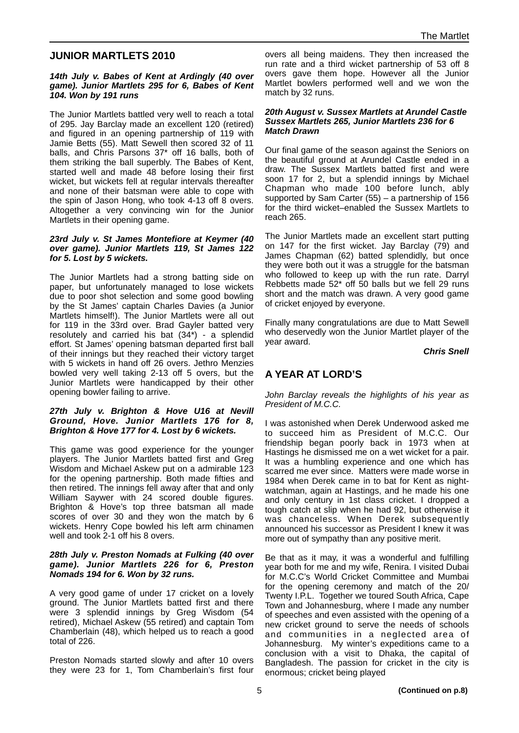# **JUNIOR MARTLETS 2010**

#### **14th July v. Babes of Kent at Ardingly (40 over game). Junior Martlets 295 for 6, Babes of Kent 104. Won by 191 runs**

The Junior Martlets battled very well to reach a total of 295. Jay Barclay made an excellent 120 (retired) and figured in an opening partnership of 119 with Jamie Betts (55). Matt Sewell then scored 32 of 11 balls, and Chris Parsons 37\* off 16 balls, both of them striking the ball superbly. The Babes of Kent, started well and made 48 before losing their first wicket, but wickets fell at regular intervals thereafter and none of their batsman were able to cope with the spin of Jason Hong, who took 4-13 off 8 overs. Altogether a very convincing win for the Junior Martlets in their opening game.

#### **23rd July v. St James Montefiore at Keymer (40 over game). Junior Martlets 119, St James 122 for 5. Lost by 5 wickets.**

The Junior Martlets had a strong batting side on paper, but unfortunately managed to lose wickets due to poor shot selection and some good bowling by the St James' captain Charles Davies (a Junior Martlets himself!). The Junior Martlets were all out for 119 in the 33rd over. Brad Gayler batted very resolutely and carried his bat  $(34^*)$  - a splendid effort. St James' opening batsman departed first ball of their innings but they reached their victory target with 5 wickets in hand off 26 overs. Jethro Menzies bowled very well taking 2-13 off 5 overs, but the Junior Martlets were handicapped by their other opening bowler failing to arrive.

#### **27th July v. Brighton & Hove U16 at Nevill Ground, Hove. Junior Martlets 176 for 8, Brighton & Hove 177 for 4. Lost by 6 wickets.**

This game was good experience for the younger players. The Junior Martlets batted first and Greg Wisdom and Michael Askew put on a admirable 123 for the opening partnership. Both made fifties and then retired. The innings fell away after that and only William Saywer with 24 scored double figures. Brighton & Hove's top three batsman all made scores of over 30 and they won the match by 6 wickets. Henry Cope bowled his left arm chinamen well and took 2-1 off his 8 overs.

#### **28th July v. Preston Nomads at Fulking (40 over game). Junior Martlets 226 for 6, Preston Nomads 194 for 6. Won by 32 runs.**

A very good game of under 17 cricket on a lovely ground. The Junior Martlets batted first and there were 3 splendid innings by Greg Wisdom (54 retired), Michael Askew (55 retired) and captain Tom Chamberlain (48), which helped us to reach a good total of 226.

Preston Nomads started slowly and after 10 overs they were 23 for 1, Tom Chamberlain's first four overs all being maidens. They then increased the run rate and a third wicket partnership of 53 off 8 overs gave them hope. However all the Junior Martlet bowlers performed well and we won the match by 32 runs.

#### **20th August v. Sussex Martlets at Arundel Castle Sussex Martlets 265, Junior Martlets 236 for 6 Match Drawn**

Our final game of the season against the Seniors on the beautiful ground at Arundel Castle ended in a draw. The Sussex Martlets batted first and were soon 17 for 2, but a splendid innings by Michael Chapman who made 100 before lunch, ably supported by Sam Carter (55) – a partnership of 156 for the third wicket–enabled the Sussex Martlets to reach 265.

The Junior Martlets made an excellent start putting on 147 for the first wicket. Jay Barclay (79) and James Chapman (62) batted splendidly, but once they were both out it was a struggle for the batsman who followed to keep up with the run rate. Darryl Rebbetts made 52\* off 50 balls but we fell 29 runs short and the match was drawn. A very good game of cricket enjoyed by everyone.

Finally many congratulations are due to Matt Sewell who deservedly won the Junior Martlet player of the year award.

**Chris Snell**

# **A YEAR AT LORD'S**

John Barclay reveals the highlights of his year as President of M.C.C.

I was astonished when Derek Underwood asked me to succeed him as President of M.C.C. Our friendship began poorly back in 1973 when at Hastings he dismissed me on a wet wicket for a pair. It was a humbling experience and one which has scarred me ever since. Matters were made worse in 1984 when Derek came in to bat for Kent as nightwatchman, again at Hastings, and he made his one and only century in 1st class cricket. I dropped a tough catch at slip when he had 92, but otherwise it was chanceless. When Derek subsequently announced his successor as President I knew it was more out of sympathy than any positive merit.

Be that as it may, it was a wonderful and fulfilling year both for me and my wife, Renira. I visited Dubai for M.C.C's World Cricket Committee and Mumbai for the opening ceremony and match of the 20/ Twenty I.P.L. Together we toured South Africa, Cape Town and Johannesburg, where I made any number of speeches and even assisted with the opening of a new cricket ground to serve the needs of schools and communities in a neglected area of Johannesburg. My winter's expeditions came to a conclusion with a visit to Dhaka, the capital of Bangladesh. The passion for cricket in the city is enormous; cricket being played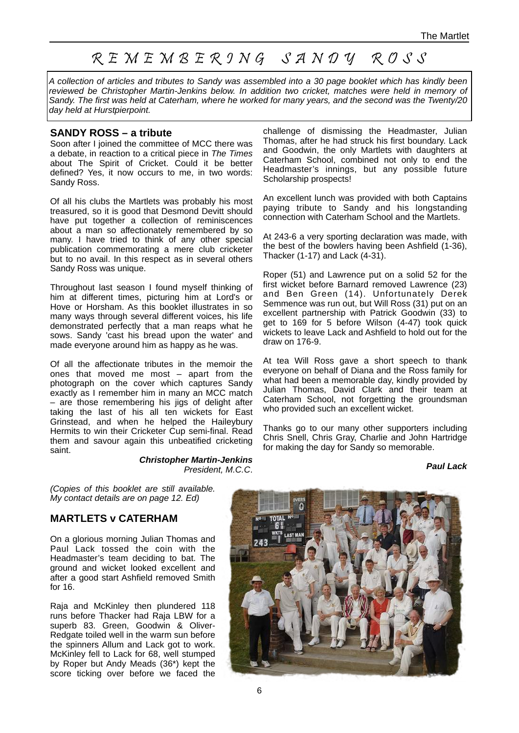# R E M E M B E R 9 N G S A N D Y R O S S

A collection of articles and tributes to Sandy was assembled into a 30 page booklet which has kindly been reviewed be Christopher Martin-Jenkins below. In addition two cricket, matches were held in memory of Sandy. The first was held at Caterham, where he worked for many years, and the second was the Twenty/20 day held at Hurstpierpoint.

#### **SANDY ROSS – a tribute**

Soon after I joined the committee of MCC there was a debate, in reaction to a critical piece in The Times about The Spirit of Cricket. Could it be better defined? Yes, it now occurs to me, in two words: Sandy Ross.

Of all his clubs the Martlets was probably his most treasured, so it is good that Desmond Devitt should have put together a collection of reminiscences about a man so affectionately remembered by so many. I have tried to think of any other special publication commemorating a mere club cricketer but to no avail. In this respect as in several others Sandy Ross was unique.

Throughout last season I found myself thinking of him at different times, picturing him at Lord's or Hove or Horsham. As this booklet illustrates in so many ways through several different voices, his life demonstrated perfectly that a man reaps what he sows. Sandy 'cast his bread upon the water' and made everyone around him as happy as he was.

Of all the affectionate tributes in the memoir the ones that moved me most – apart from the photograph on the cover which captures Sandy exactly as I remember him in many an MCC match – are those remembering his jigs of delight after taking the last of his all ten wickets for East Grinstead, and when he helped the Haileybury Hermits to win their Cricketer Cup semi-final. Read them and savour again this unbeatified cricketing saint.

> **Christopher Martin-Jenkins** President, M.C.C.

challenge of dismissing the Headmaster, Julian Thomas, after he had struck his first boundary. Lack and Goodwin, the only Martlets with daughters at Caterham School, combined not only to end the Headmaster's innings, but any possible future Scholarship prospects!

An excellent lunch was provided with both Captains paying tribute to Sandy and his longstanding connection with Caterham School and the Martlets.

At 243-6 a very sporting declaration was made, with the best of the bowlers having been Ashfield (1-36), Thacker (1-17) and Lack (4-31).

Roper (51) and Lawrence put on a solid 52 for the first wicket before Barnard removed Lawrence (23) and Ben Green (14). Unfortunately Derek Semmence was run out, but Will Ross (31) put on an excellent partnership with Patrick Goodwin (33) to get to 169 for 5 before Wilson (4-47) took quick wickets to leave Lack and Ashfield to hold out for the draw on 176-9.

At tea Will Ross gave a short speech to thank everyone on behalf of Diana and the Ross family for what had been a memorable day, kindly provided by Julian Thomas, David Clark and their team at Caterham School, not forgetting the groundsman who provided such an excellent wicket.

Thanks go to our many other supporters including Chris Snell, Chris Gray, Charlie and John Hartridge for making the day for Sandy so memorable.

#### **Paul Lack**

(Copies of this booklet are still available. My contact details are on page 12. Ed)

#### **MARTLETS v CATERHAM**

On a glorious morning Julian Thomas and Paul Lack tossed the coin with the Headmaster's team deciding to bat. The ground and wicket looked excellent and after a good start Ashfield removed Smith for 16.

Raja and McKinley then plundered 118 runs before Thacker had Raja LBW for a superb 83. Green, Goodwin & Oliver-Redgate toiled well in the warm sun before the spinners Allum and Lack got to work. McKinley fell to Lack for 68, well stumped by Roper but Andy Meads (36\*) kept the score ticking over before we faced the

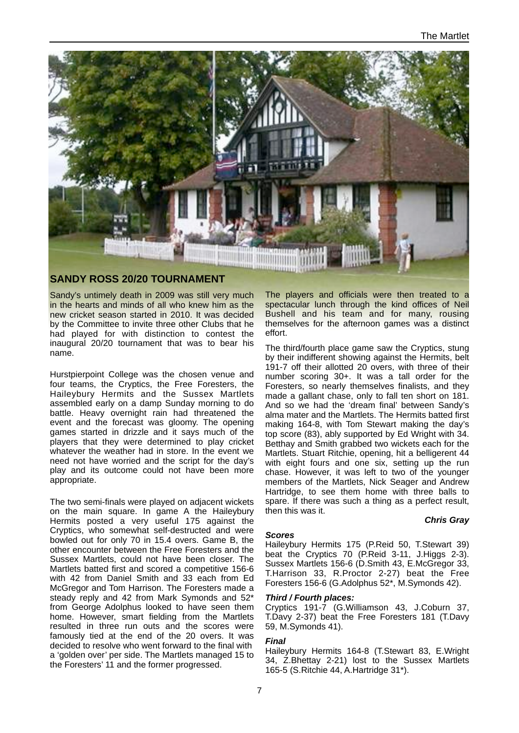

#### **SANDY ROSS 20/20 TOURNAMENT**

Sandy's untimely death in 2009 was still very much in the hearts and minds of all who knew him as the new cricket season started in 2010. It was decided by the Committee to invite three other Clubs that he had played for with distinction to contest the inaugural 20/20 tournament that was to bear his name.

Hurstpierpoint College was the chosen venue and four teams, the Cryptics, the Free Foresters, the Haileybury Hermits and the Sussex Martlets assembled early on a damp Sunday morning to do battle. Heavy overnight rain had threatened the event and the forecast was gloomy. The opening games started in drizzle and it says much of the players that they were determined to play cricket whatever the weather had in store. In the event we need not have worried and the script for the day's play and its outcome could not have been more appropriate.

The two semi-finals were played on adjacent wickets on the main square. In game A the Haileybury Hermits posted a very useful 175 against the Cryptics, who somewhat self-destructed and were bowled out for only 70 in 15.4 overs. Game B, the other encounter between the Free Foresters and the Sussex Martlets, could not have been closer. The Martlets batted first and scored a competitive 156-6 with 42 from Daniel Smith and 33 each from Ed McGregor and Tom Harrison. The Foresters made a steady reply and 42 from Mark Symonds and 52\* from George Adolphus looked to have seen them home. However, smart fielding from the Martlets resulted in three run outs and the scores were famously tied at the end of the 20 overs. It was decided to resolve who went forward to the final with a 'golden over' per side. The Martlets managed 15 to the Foresters' 11 and the former progressed.

The players and officials were then treated to a spectacular lunch through the kind offices of Neil Bushell and his team and for many, rousing themselves for the afternoon games was a distinct effort.

The third/fourth place game saw the Cryptics, stung by their indifferent showing against the Hermits, belt 191-7 off their allotted 20 overs, with three of their number scoring 30+. It was a tall order for the Foresters, so nearly themselves finalists, and they made a gallant chase, only to fall ten short on 181. And so we had the 'dream final' between Sandy's alma mater and the Martlets. The Hermits batted first making 164-8, with Tom Stewart making the day's top score (83), ably supported by Ed Wright with 34. Betthay and Smith grabbed two wickets each for the Martlets. Stuart Ritchie, opening, hit a belligerent 44 with eight fours and one six, setting up the run chase. However, it was left to two of the younger members of the Martlets, Nick Seager and Andrew Hartridge, to see them home with three balls to spare. If there was such a thing as a perfect result, then this was it.

# **Scores**

#### **Chris Gray**

Haileybury Hermits 175 (P.Reid 50, T.Stewart 39) beat the Cryptics 70 (P.Reid 3-11, J.Higgs 2-3). Sussex Martlets 156-6 (D.Smith 43, E.McGregor 33, T.Harrison 33, R.Proctor 2-27) beat the Free Foresters 156-6 (G.Adolphus 52\*, M.Symonds 42).

#### **Third / Fourth places:**

Cryptics 191-7 (G.Williamson 43, J.Coburn 37, T.Davy 2-37) beat the Free Foresters 181 (T.Davy 59, M.Symonds 41).

#### **Final**

Haileybury Hermits 164-8 (T.Stewart 83, E.Wright 34, Z.Bhettay 2-21) lost to the Sussex Martlets 165-5 (S.Ritchie 44, A.Hartridge 31\*).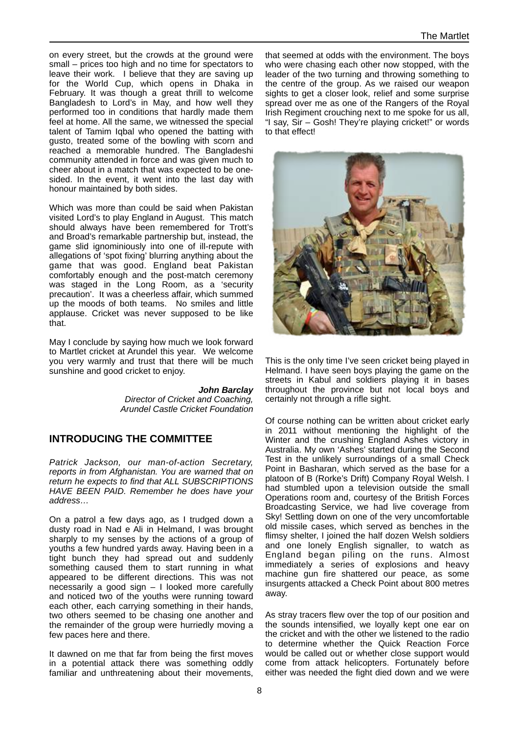on every street, but the crowds at the ground were small – prices too high and no time for spectators to leave their work. I believe that they are saving up for the World Cup, which opens in Dhaka in February. It was though a great thrill to welcome Bangladesh to Lord's in May, and how well they performed too in conditions that hardly made them feel at home. All the same, we witnessed the special talent of Tamim Iqbal who opened the batting with gusto, treated some of the bowling with scorn and reached a memorable hundred. The Bangladeshi community attended in force and was given much to cheer about in a match that was expected to be onesided. In the event, it went into the last day with honour maintained by both sides.

Which was more than could be said when Pakistan visited Lord's to play England in August. This match should always have been remembered for Trott's and Broad's remarkable partnership but, instead, the game slid ignominiously into one of ill-repute with allegations of 'spot fixing' blurring anything about the game that was good. England beat Pakistan comfortably enough and the post-match ceremony was staged in the Long Room, as a 'security precaution'. It was a cheerless affair, which summed up the moods of both teams. No smiles and little applause. Cricket was never supposed to be like that.

May I conclude by saying how much we look forward to Martlet cricket at Arundel this year. We welcome you very warmly and trust that there will be much sunshine and good cricket to enjoy.

> **John Barclay**  Director of Cricket and Coaching, Arundel Castle Cricket Foundation

# **INTRODUCING THE COMMITTEE**

Patrick Jackson, our man-of-action Secretary, reports in from Afghanistan. You are warned that on return he expects to find that ALL SUBSCRIPTIONS HAVE BEEN PAID. Remember he does have your address…

On a patrol a few days ago, as I trudged down a dusty road in Nad e Ali in Helmand, I was brought sharply to my senses by the actions of a group of youths a few hundred yards away. Having been in a tight bunch they had spread out and suddenly something caused them to start running in what appeared to be different directions. This was not necessarily a good sign – I looked more carefully and noticed two of the youths were running toward each other, each carrying something in their hands, two others seemed to be chasing one another and the remainder of the group were hurriedly moving a few paces here and there.

It dawned on me that far from being the first moves in a potential attack there was something oddly familiar and unthreatening about their movements, that seemed at odds with the environment. The boys who were chasing each other now stopped, with the leader of the two turning and throwing something to the centre of the group. As we raised our weapon sights to get a closer look, relief and some surprise spread over me as one of the Rangers of the Royal Irish Regiment crouching next to me spoke for us all, "I say, Sir – Gosh! They're playing cricket!" or words to that effect!



This is the only time I've seen cricket being played in Helmand. I have seen boys playing the game on the streets in Kabul and soldiers playing it in bases throughout the province but not local boys and certainly not through a rifle sight.

Of course nothing can be written about cricket early in 2011 without mentioning the highlight of the Winter and the crushing England Ashes victory in Australia. My own 'Ashes' started during the Second Test in the unlikely surroundings of a small Check Point in Basharan, which served as the base for a platoon of B (Rorke's Drift) Company Royal Welsh. I had stumbled upon a television outside the small Operations room and, courtesy of the British Forces Broadcasting Service, we had live coverage from Sky! Settling down on one of the very uncomfortable old missile cases, which served as benches in the flimsy shelter, I joined the half dozen Welsh soldiers and one lonely English signaller, to watch as England began piling on the runs. Almost immediately a series of explosions and heavy machine gun fire shattered our peace, as some insurgents attacked a Check Point about 800 metres away.

As stray tracers flew over the top of our position and the sounds intensified, we loyally kept one ear on the cricket and with the other we listened to the radio to determine whether the Quick Reaction Force would be called out or whether close support would come from attack helicopters. Fortunately before either was needed the fight died down and we were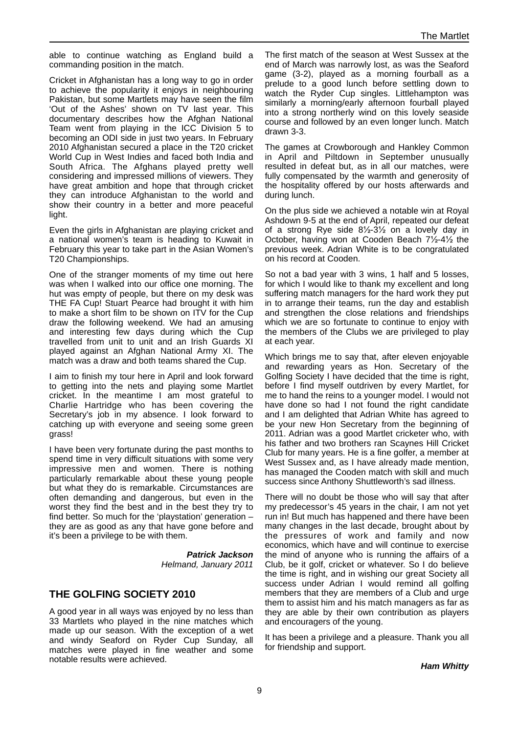able to continue watching as England build a commanding position in the match.

Cricket in Afghanistan has a long way to go in order to achieve the popularity it enjoys in neighbouring Pakistan, but some Martlets may have seen the film 'Out of the Ashes' shown on TV last year. This documentary describes how the Afghan National Team went from playing in the ICC Division 5 to becoming an ODI side in just two years. In February 2010 Afghanistan secured a place in the T20 cricket World Cup in West Indies and faced both India and South Africa. The Afghans played pretty well considering and impressed millions of viewers. They have great ambition and hope that through cricket they can introduce Afghanistan to the world and show their country in a better and more peaceful light.

Even the girls in Afghanistan are playing cricket and a national women's team is heading to Kuwait in February this year to take part in the Asian Women's T20 Championships.

One of the stranger moments of my time out here was when I walked into our office one morning. The hut was empty of people, but there on my desk was THE FA Cup! Stuart Pearce had brought it with him to make a short film to be shown on ITV for the Cup draw the following weekend. We had an amusing and interesting few days during which the Cup travelled from unit to unit and an Irish Guards XI played against an Afghan National Army XI. The match was a draw and both teams shared the Cup.

I aim to finish my tour here in April and look forward to getting into the nets and playing some Martlet cricket. In the meantime I am most grateful to Charlie Hartridge who has been covering the Secretary's job in my absence. I look forward to catching up with everyone and seeing some green grass!

I have been very fortunate during the past months to spend time in very difficult situations with some very impressive men and women. There is nothing particularly remarkable about these young people but what they do is remarkable. Circumstances are often demanding and dangerous, but even in the worst they find the best and in the best they try to find better. So much for the 'playstation' generation – they are as good as any that have gone before and it's been a privilege to be with them.

> **Patrick Jackson** Helmand, January 2011

# **THE GOLFING SOCIETY 2010**

A good year in all ways was enjoyed by no less than 33 Martlets who played in the nine matches which made up our season. With the exception of a wet and windy Seaford on Ryder Cup Sunday, all matches were played in fine weather and some notable results were achieved.

The first match of the season at West Sussex at the end of March was narrowly lost, as was the Seaford game (3-2), played as a morning fourball as a prelude to a good lunch before settling down to watch the Ryder Cup singles. Littlehampton was similarly a morning/early afternoon fourball played into a strong northerly wind on this lovely seaside course and followed by an even longer lunch. Match drawn 3-3.

The games at Crowborough and Hankley Common in April and Piltdown in September unusually resulted in defeat but, as in all our matches, were fully compensated by the warmth and generosity of the hospitality offered by our hosts afterwards and during lunch.

On the plus side we achieved a notable win at Royal Ashdown 9-5 at the end of April, repeated our defeat of a strong Rye side 8½-3½ on a lovely day in October, having won at Cooden Beach 7½-4½ the previous week. Adrian White is to be congratulated on his record at Cooden.

So not a bad year with 3 wins, 1 half and 5 losses, for which I would like to thank my excellent and long suffering match managers for the hard work they put in to arrange their teams, run the day and establish and strengthen the close relations and friendships which we are so fortunate to continue to enjoy with the members of the Clubs we are privileged to play at each year.

Which brings me to say that, after eleven enjoyable and rewarding years as Hon. Secretary of the Golfing Society I have decided that the time is right, before I find myself outdriven by every Martlet, for me to hand the reins to a younger model. I would not have done so had I not found the right candidate and I am delighted that Adrian White has agreed to be your new Hon Secretary from the beginning of 2011. Adrian was a good Martlet cricketer who, with his father and two brothers ran Scaynes Hill Cricket Club for many years. He is a fine golfer, a member at West Sussex and, as I have already made mention, has managed the Cooden match with skill and much success since Anthony Shuttleworth's sad illness.

There will no doubt be those who will say that after my predecessor's 45 years in the chair, I am not yet run in! But much has happened and there have been many changes in the last decade, brought about by the pressures of work and family and now economics, which have and will continue to exercise the mind of anyone who is running the affairs of a Club, be it golf, cricket or whatever. So I do believe the time is right, and in wishing our great Society all success under Adrian I would remind all golfing members that they are members of a Club and urge them to assist him and his match managers as far as they are able by their own contribution as players and encouragers of the young.

It has been a privilege and a pleasure. Thank you all for friendship and support.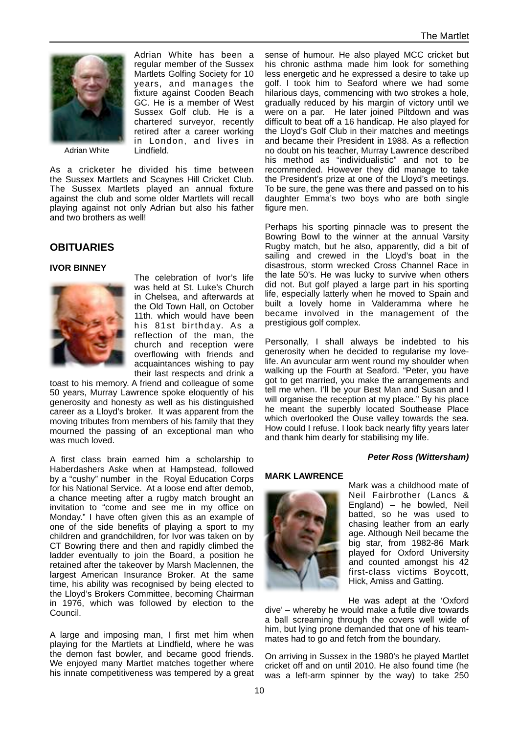

Adrian White has been a regular member of the Sussex Martlets Golfing Society for 10 years, and manages the fixture against Cooden Beach GC. He is a member of West Sussex Golf club. He is a chartered surveyor, recently retired after a career working in London, and lives in Lindfield.

Adrian White

As a cricketer he divided his time between the Sussex Martlets and Scaynes Hill Cricket Club. The Sussex Martlets played an annual fixture against the club and some older Martlets will recall playing against not only Adrian but also his father and two brothers as well!

# **OBITUARIES**

#### **IVOR BINNEY**



The celebration of Ivor's life was held at St. Luke's Church in Chelsea, and afterwards at the Old Town Hall, on October 11th. which would have been his 81st birthday. As a reflection of the man, the church and reception were overflowing with friends and acquaintances wishing to pay their last respects and drink a

toast to his memory. A friend and colleague of some 50 years, Murray Lawrence spoke eloquently of his generosity and honesty as well as his distinguished career as a Lloyd's broker. It was apparent from the moving tributes from members of his family that they mourned the passing of an exceptional man who was much loved.

A first class brain earned him a scholarship to Haberdashers Aske when at Hampstead, followed by a "cushy" number in the Royal Education Corps for his National Service. At a loose end after demob, a chance meeting after a rugby match brought an invitation to "come and see me in my office on Monday." I have often given this as an example of one of the side benefits of playing a sport to my children and grandchildren, for Ivor was taken on by CT Bowring there and then and rapidly climbed the ladder eventually to join the Board, a position he retained after the takeover by Marsh Maclennen, the largest American Insurance Broker. At the same time, his ability was recognised by being elected to the Lloyd's Brokers Committee, becoming Chairman in 1976, which was followed by election to the Council.

A large and imposing man, I first met him when playing for the Martlets at Lindfield, where he was the demon fast bowler, and became good friends. We enjoyed many Martlet matches together where his innate competitiveness was tempered by a great sense of humour. He also played MCC cricket but his chronic asthma made him look for something less energetic and he expressed a desire to take up golf. I took him to Seaford where we had some hilarious days, commencing with two strokes a hole, gradually reduced by his margin of victory until we were on a par. He later joined Piltdown and was difficult to beat off a 16 handicap. He also played for the Lloyd's Golf Club in their matches and meetings and became their President in 1988. As a reflection no doubt on his teacher, Murray Lawrence described his method as "individualistic" and not to be recommended. However they did manage to take the President's prize at one of the Lloyd's meetings. To be sure, the gene was there and passed on to his daughter Emma's two boys who are both single figure men.

Perhaps his sporting pinnacle was to present the Bowring Bowl to the winner at the annual Varsity Rugby match, but he also, apparently, did a bit of sailing and crewed in the Lloyd's boat in the disastrous, storm wrecked Cross Channel Race in the late 50's. He was lucky to survive when others did not. But golf played a large part in his sporting life, especially latterly when he moved to Spain and built a lovely home in Valderamma where he became involved in the management of the prestigious golf complex.

Personally, I shall always be indebted to his generosity when he decided to regularise my lovelife. An avuncular arm went round my shoulder when walking up the Fourth at Seaford. "Peter, you have got to get married, you make the arrangements and tell me when. I'll be your Best Man and Susan and I will organise the reception at my place." By his place he meant the superbly located Southease Place which overlooked the Ouse valley towards the sea. How could I refuse. I look back nearly fifty years later and thank him dearly for stabilising my life.

#### **Peter Ross (Wittersham)**

#### **MARK LAWRENCE**



Mark was a childhood mate of Neil Fairbrother (Lancs & England) – he bowled, Neil batted, so he was used to chasing leather from an early age. Although Neil became the big star, from 1982-86 Mark played for Oxford University and counted amongst his 42 first-class victims Boycott, Hick, Amiss and Gatting.

He was adept at the 'Oxford dive' – whereby he would make a futile dive towards a ball screaming through the covers well wide of him, but lying prone demanded that one of his teammates had to go and fetch from the boundary.

On arriving in Sussex in the 1980's he played Martlet cricket off and on until 2010. He also found time (he was a left-arm spinner by the way) to take 250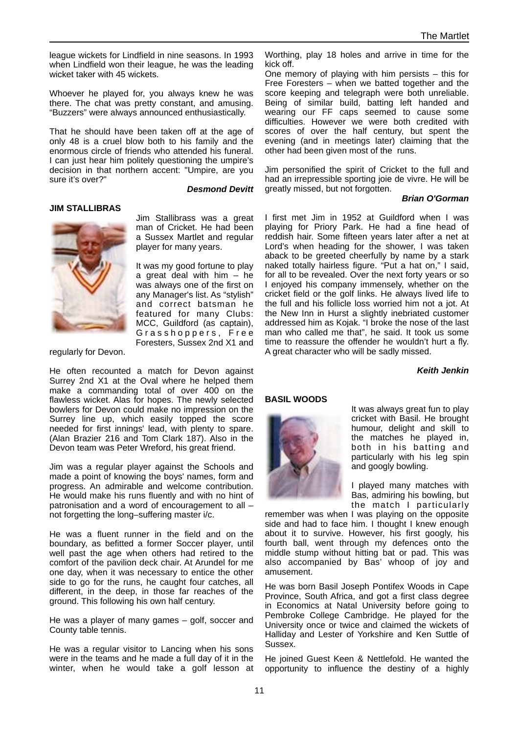league wickets for Lindfield in nine seasons. In 1993 when Lindfield won their league, he was the leading wicket taker with 45 wickets.

Whoever he played for, you always knew he was there. The chat was pretty constant, and amusing. "Buzzers" were always announced enthusiastically.

That he should have been taken off at the age of only 48 is a cruel blow both to his family and the enormous circle of friends who attended his funeral. I can just hear him politely questioning the umpire's decision in that northern accent: "Umpire, are you sure it's over?"

**Desmond Devitt**

#### **JIM STALLIBRAS**



Jim Stallibrass was a great man of Cricket. He had been a Sussex Martlet and regular player for many years.

It was my good fortune to play a great deal with him – he was always one of the first on any Manager's list. As "stylish" and correct batsman he featured for many Clubs: MCC, Guildford (as captain), Grasshoppers, Free Foresters, Sussex 2nd X1 and

regularly for Devon.

He often recounted a match for Devon against Surrey 2nd X1 at the Oval where he helped them make a commanding total of over 400 on the flawless wicket. Alas for hopes. The newly selected bowlers for Devon could make no impression on the Surrey line up, which easily topped the score needed for first innings' lead, with plenty to spare. (Alan Brazier 216 and Tom Clark 187). Also in the Devon team was Peter Wreford, his great friend.

Jim was a regular player against the Schools and made a point of knowing the boys' names, form and progress. An admirable and welcome contribution. He would make his runs fluently and with no hint of patronisation and a word of encouragement to all – not forgetting the long–suffering master i/c.

He was a fluent runner in the field and on the boundary, as befitted a former Soccer player, until well past the age when others had retired to the comfort of the pavilion deck chair. At Arundel for me one day, when it was necessary to entice the other side to go for the runs, he caught four catches, all different, in the deep, in those far reaches of the ground. This following his own half century.

He was a player of many games – golf, soccer and County table tennis.

He was a regular visitor to Lancing when his sons were in the teams and he made a full day of it in the winter, when he would take a golf lesson at Worthing, play 18 holes and arrive in time for the kick off.

One memory of playing with him persists – this for Free Foresters – when we batted together and the score keeping and telegraph were both unreliable. Being of similar build, batting left handed and wearing our FF caps seemed to cause some difficulties. However we were both credited with scores of over the half century, but spent the evening (and in meetings later) claiming that the other had been given most of the runs.

Jim personified the spirit of Cricket to the full and had an irrepressible sporting joie de vivre. He will be greatly missed, but not forgotten.

#### **Brian O'Gorman**

I first met Jim in 1952 at Guildford when I was playing for Priory Park. He had a fine head of reddish hair. Some fifteen years later after a net at Lord's when heading for the shower, I was taken aback to be greeted cheerfully by name by a stark naked totally hairless figure. "Put a hat on," I said, for all to be revealed. Over the next forty years or so I enjoyed his company immensely, whether on the cricket field or the golf links. He always lived life to the full and his follicle loss worried him not a jot. At the New Inn in Hurst a slightly inebriated customer addressed him as Kojak. "I broke the nose of the last man who called me that", he said. It took us some time to reassure the offender he wouldn't hurt a fly. A great character who will be sadly missed.

**Keith Jenkin**

#### **BASIL WOODS**



It was always great fun to play cricket with Basil. He brought humour, delight and skill to the matches he played in, both in his batting and particularly with his leg spin and googly bowling.

I played many matches with Bas, admiring his bowling, but the match I particularly

remember was when I was playing on the opposite side and had to face him. I thought I knew enough about it to survive. However, his first googly, his fourth ball, went through my defences onto the middle stump without hitting bat or pad. This was also accompanied by Bas' whoop of joy and amusement.

He was born Basil Joseph Pontifex Woods in Cape Province, South Africa, and got a first class degree in Economics at Natal University before going to Pembroke College Cambridge. He played for the University once or twice and claimed the wickets of Halliday and Lester of Yorkshire and Ken Suttle of Sussex.

He joined Guest Keen & Nettlefold. He wanted the opportunity to influence the destiny of a highly